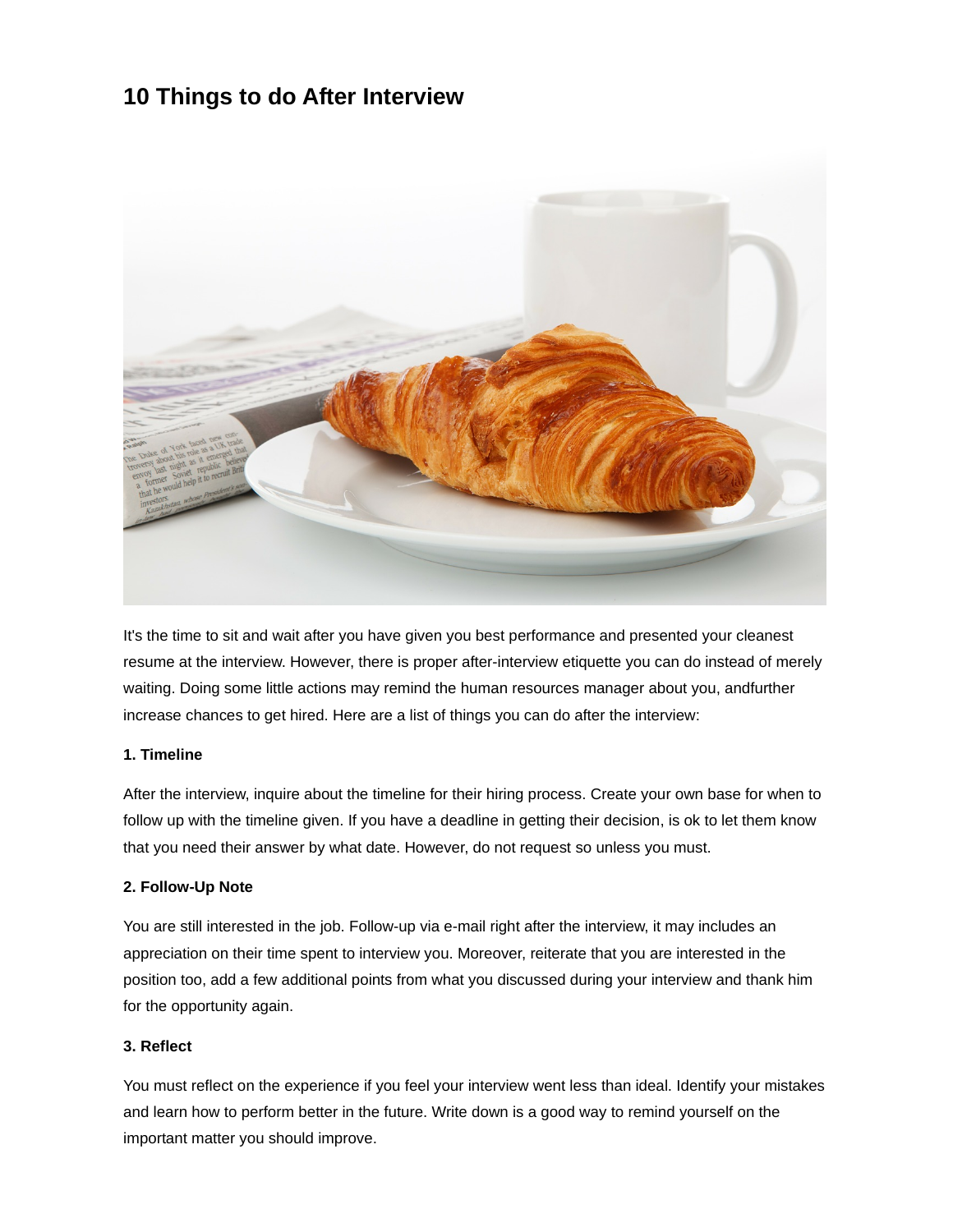# **10 Things to do After Interview**



It's the time to sit and wait after you have given you best performance and presented your cleanest resume at the interview. However, there is proper after-interview etiquette you can do instead of merely waiting. Doing some little actions may remind the human resources manager about you, andfurther increase chances to get hired. Here are a list of things you can do after the interview:

#### **1. Timeline**

After the interview, inquire about the timeline for their hiring process. Create your own base for when to follow up with the timeline given. If you have a deadline in getting their decision, is ok to let them know that you need their answer by what date. However, do not request so unless you must.

#### **2. Follow-Up Note**

You are still interested in the job. Follow-up via e-mail right after the interview, it may includes an appreciation on their time spent to interview you. Moreover, reiterate that you are interested in the position too, add a few additional points from what you discussed during your interview and thank him for the opportunity again.

#### **3. Reflect**

You must reflect on the experience if you feel your interview went less than ideal. Identify your mistakes and learn how to perform better in the future. Write down is a good way to remind yourself on the important matter you should improve.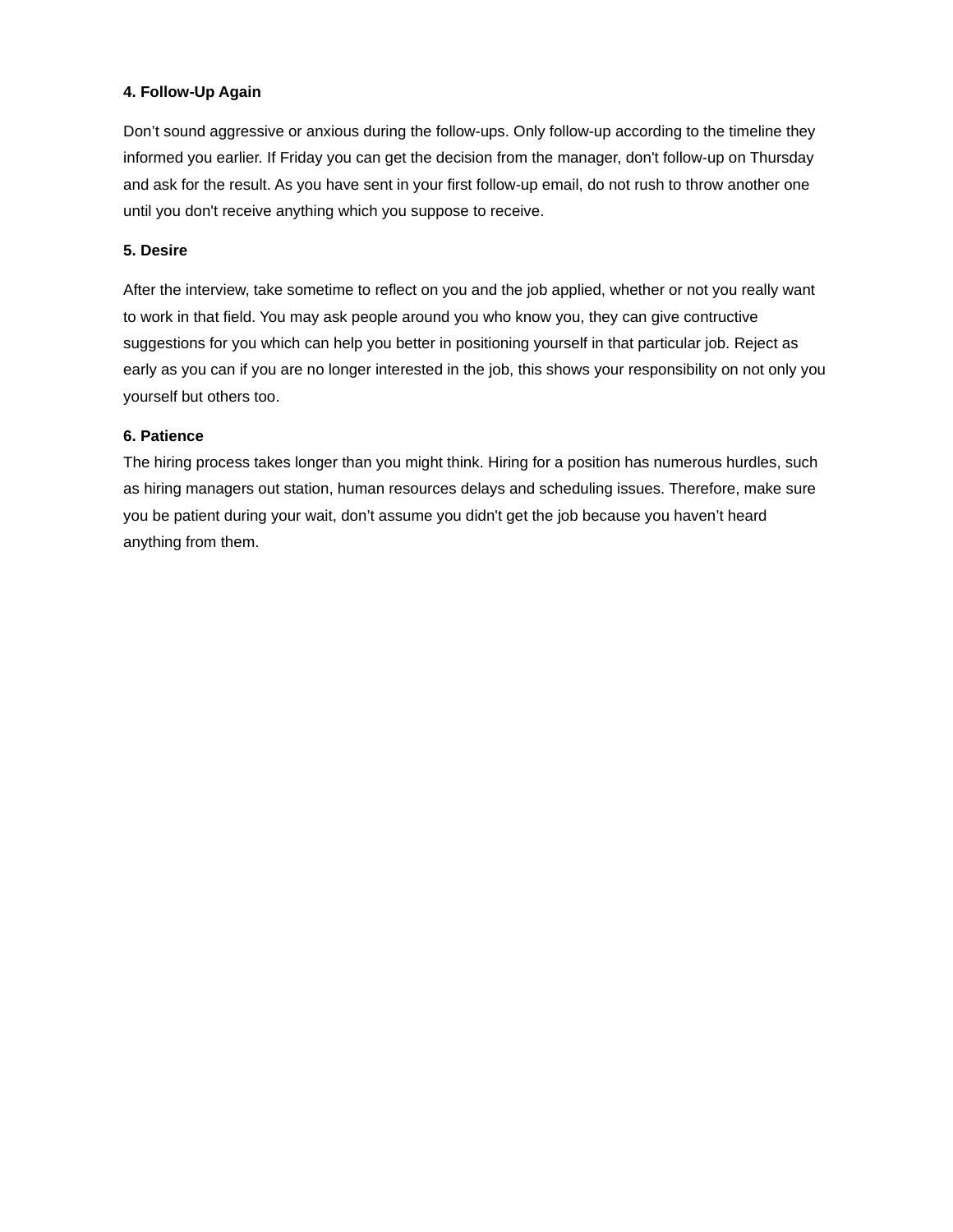# **4. Follow-Up Again**

Don't sound aggressive or anxious during the follow-ups. Only follow-up according to the timeline they informed you earlier. If Friday you can get the decision from the manager, don't follow-up on Thursday and ask for the result. As you have sent in your first follow-up email, do not rush to throw another one until you don't receive anything which you suppose to receive.

## **5. Desire**

After the interview, take sometime to reflect on you and the job applied, whether or not you really want to work in that field. You may ask people around you who know you, they can give contructive suggestions for you which can help you better in positioning yourself in that particular job. Reject as early as you can if you are no longer interested in the job, this shows your responsibility on not only you yourself but others too.

## **6. Patience**

The hiring process takes longer than you might think. Hiring for a position has numerous hurdles, such as hiring managers out station, human resources delays and scheduling issues. Therefore, make sure you be patient during your wait, don't assume you didn't get the job because you haven't heard anything from them.